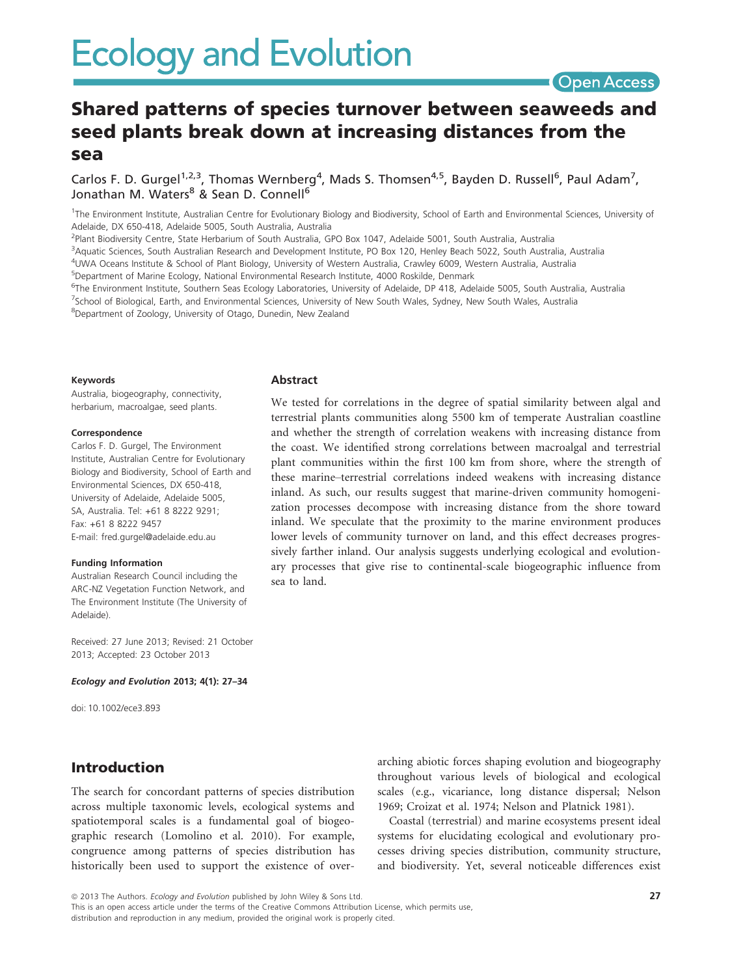# Shared patterns of species turnover between seaweeds and seed plants break down at increasing distances from the sea

Carlos F. D. Gurgel<sup>1,2,3</sup>, Thomas Wernberg<sup>4</sup>, Mads S. Thomsen<sup>4,5</sup>, Bayden D. Russell<sup>6</sup>, Paul Adam<sup>7</sup>, Jonathan M. Waters<sup>8</sup> & Sean D. Connell<sup>6</sup>

<sup>1</sup>The Environment Institute, Australian Centre for Evolutionary Biology and Biodiversity, School of Earth and Environmental Sciences, University of Adelaide, DX 650-418, Adelaide 5005, South Australia, Australia

<sup>2</sup>Plant Biodiversity Centre, State Herbarium of South Australia, GPO Box 1047, Adelaide 5001, South Australia, Australia

3 Aquatic Sciences, South Australian Research and Development Institute, PO Box 120, Henley Beach 5022, South Australia, Australia

4 UWA Oceans Institute & School of Plant Biology, University of Western Australia, Crawley 6009, Western Australia, Australia

5 Department of Marine Ecology, National Environmental Research Institute, 4000 Roskilde, Denmark

Abstract

sea to land.

<sup>6</sup>The Environment Institute, Southern Seas Ecology Laboratories, University of Adelaide, DP 418, Adelaide 5005, South Australia, Australia 7 School of Biological, Earth, and Environmental Sciences, University of New South Wales, Sydney, New South Wales, Australia

<sup>8</sup>Department of Zoology, University of Otago, Dunedin, New Zealand

#### Keywords

Australia, biogeography, connectivity, herbarium, macroalgae, seed plants.

#### Correspondence

Carlos F. D. Gurgel, The Environment Institute, Australian Centre for Evolutionary Biology and Biodiversity, School of Earth and Environmental Sciences, DX 650-418, University of Adelaide, Adelaide 5005, SA, Australia. Tel: +61 8 8222 9291; Fax: +61 8 8222 9457 E-mail: fred.gurgel@adelaide.edu.au

#### Funding Information

Australian Research Council including the ARC-NZ Vegetation Function Network, and The Environment Institute (The University of Adelaide).

Received: 27 June 2013; Revised: 21 October 2013; Accepted: 23 October 2013

#### Ecology and Evolution 2013; 4(1): 27–34

doi: 10.1002/ece3.893

## Introduction

The search for concordant patterns of species distribution across multiple taxonomic levels, ecological systems and spatiotemporal scales is a fundamental goal of biogeographic research (Lomolino et al. 2010). For example, congruence among patterns of species distribution has historically been used to support the existence of overarching abiotic forces shaping evolution and biogeography throughout various levels of biological and ecological scales (e.g., vicariance, long distance dispersal; Nelson 1969; Croizat et al. 1974; Nelson and Platnick 1981).

We tested for correlations in the degree of spatial similarity between algal and terrestrial plants communities along 5500 km of temperate Australian coastline and whether the strength of correlation weakens with increasing distance from the coast. We identified strong correlations between macroalgal and terrestrial plant communities within the first 100 km from shore, where the strength of these marine–terrestrial correlations indeed weakens with increasing distance inland. As such, our results suggest that marine-driven community homogenization processes decompose with increasing distance from the shore toward inland. We speculate that the proximity to the marine environment produces lower levels of community turnover on land, and this effect decreases progressively farther inland. Our analysis suggests underlying ecological and evolutionary processes that give rise to continental-scale biogeographic influence from

> Coastal (terrestrial) and marine ecosystems present ideal systems for elucidating ecological and evolutionary processes driving species distribution, community structure, and biodiversity. Yet, several noticeable differences exist

© 2013 The Authors. Ecology and Evolution published by John Wiley & Sons Ltd.

This is an open access article under the terms of the Creative Commons Attribution License, which permits use, distribution and reproduction in any medium, provided the original work is properly cited.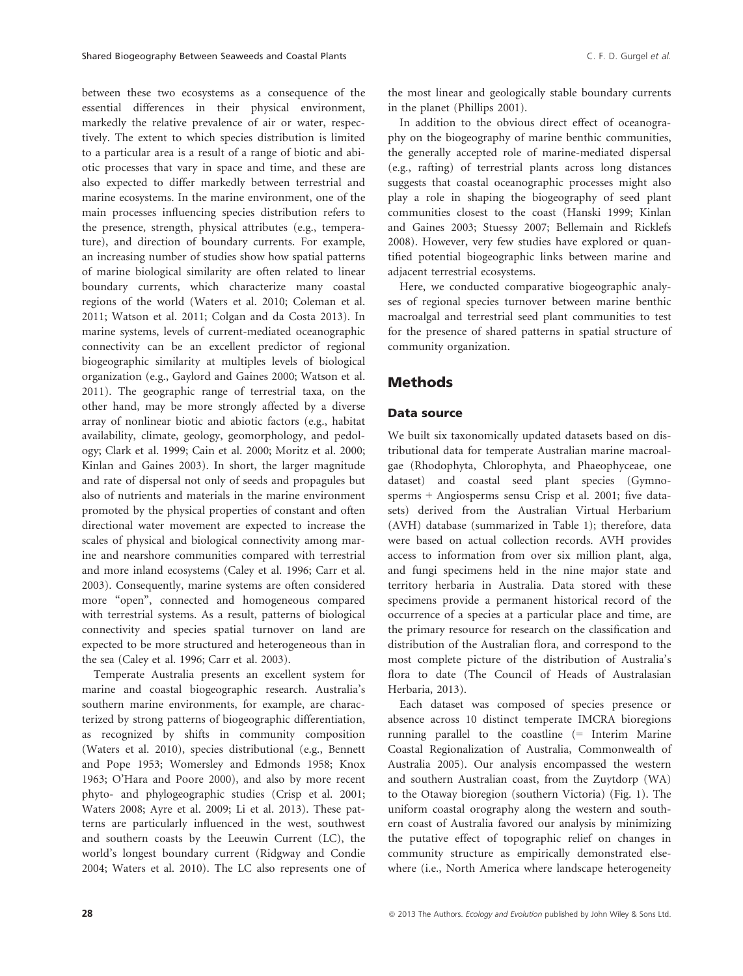between these two ecosystems as a consequence of the essential differences in their physical environment, markedly the relative prevalence of air or water, respectively. The extent to which species distribution is limited to a particular area is a result of a range of biotic and abiotic processes that vary in space and time, and these are also expected to differ markedly between terrestrial and marine ecosystems. In the marine environment, one of the main processes influencing species distribution refers to the presence, strength, physical attributes (e.g., temperature), and direction of boundary currents. For example, an increasing number of studies show how spatial patterns of marine biological similarity are often related to linear boundary currents, which characterize many coastal regions of the world (Waters et al. 2010; Coleman et al. 2011; Watson et al. 2011; Colgan and da Costa 2013). In marine systems, levels of current-mediated oceanographic connectivity can be an excellent predictor of regional biogeographic similarity at multiples levels of biological organization (e.g., Gaylord and Gaines 2000; Watson et al. 2011). The geographic range of terrestrial taxa, on the other hand, may be more strongly affected by a diverse array of nonlinear biotic and abiotic factors (e.g., habitat availability, climate, geology, geomorphology, and pedology; Clark et al. 1999; Cain et al. 2000; Moritz et al. 2000; Kinlan and Gaines 2003). In short, the larger magnitude and rate of dispersal not only of seeds and propagules but also of nutrients and materials in the marine environment promoted by the physical properties of constant and often directional water movement are expected to increase the scales of physical and biological connectivity among marine and nearshore communities compared with terrestrial and more inland ecosystems (Caley et al. 1996; Carr et al. 2003). Consequently, marine systems are often considered more "open", connected and homogeneous compared with terrestrial systems. As a result, patterns of biological connectivity and species spatial turnover on land are expected to be more structured and heterogeneous than in the sea (Caley et al. 1996; Carr et al. 2003).

Temperate Australia presents an excellent system for marine and coastal biogeographic research. Australia's southern marine environments, for example, are characterized by strong patterns of biogeographic differentiation, as recognized by shifts in community composition (Waters et al. 2010), species distributional (e.g., Bennett and Pope 1953; Womersley and Edmonds 1958; Knox 1963; O'Hara and Poore 2000), and also by more recent phyto- and phylogeographic studies (Crisp et al. 2001; Waters 2008; Ayre et al. 2009; Li et al. 2013). These patterns are particularly influenced in the west, southwest and southern coasts by the Leeuwin Current (LC), the world's longest boundary current (Ridgway and Condie 2004; Waters et al. 2010). The LC also represents one of the most linear and geologically stable boundary currents in the planet (Phillips 2001).

In addition to the obvious direct effect of oceanography on the biogeography of marine benthic communities, the generally accepted role of marine-mediated dispersal (e.g., rafting) of terrestrial plants across long distances suggests that coastal oceanographic processes might also play a role in shaping the biogeography of seed plant communities closest to the coast (Hanski 1999; Kinlan and Gaines 2003; Stuessy 2007; Bellemain and Ricklefs 2008). However, very few studies have explored or quantified potential biogeographic links between marine and adjacent terrestrial ecosystems.

Here, we conducted comparative biogeographic analyses of regional species turnover between marine benthic macroalgal and terrestrial seed plant communities to test for the presence of shared patterns in spatial structure of community organization.

# Methods

#### Data source

We built six taxonomically updated datasets based on distributional data for temperate Australian marine macroalgae (Rhodophyta, Chlorophyta, and Phaeophyceae, one dataset) and coastal seed plant species (Gymnosperms + Angiosperms sensu Crisp et al. 2001; five datasets) derived from the Australian Virtual Herbarium (AVH) database (summarized in Table 1); therefore, data were based on actual collection records. AVH provides access to information from over six million plant, alga, and fungi specimens held in the nine major state and territory herbaria in Australia. Data stored with these specimens provide a permanent historical record of the occurrence of a species at a particular place and time, are the primary resource for research on the classification and distribution of the Australian flora, and correspond to the most complete picture of the distribution of Australia's flora to date (The Council of Heads of Australasian Herbaria, 2013).

Each dataset was composed of species presence or absence across 10 distinct temperate IMCRA bioregions running parallel to the coastline (= Interim Marine Coastal Regionalization of Australia, Commonwealth of Australia 2005). Our analysis encompassed the western and southern Australian coast, from the Zuytdorp (WA) to the Otaway bioregion (southern Victoria) (Fig. 1). The uniform coastal orography along the western and southern coast of Australia favored our analysis by minimizing the putative effect of topographic relief on changes in community structure as empirically demonstrated elsewhere (i.e., North America where landscape heterogeneity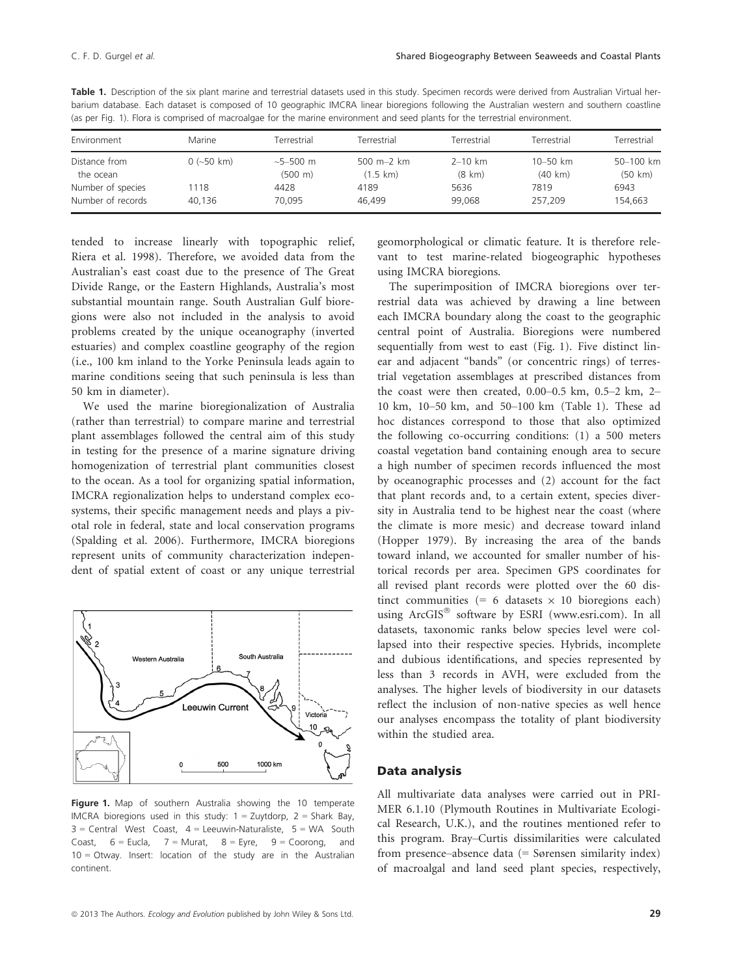| Environment                | Marine       | Terrestrial                           | Terrestrial                      | Terrestrial                     | Terrestrial                       | Terrestrial          |
|----------------------------|--------------|---------------------------------------|----------------------------------|---------------------------------|-----------------------------------|----------------------|
| Distance from<br>the ocean | $0$ (~50 km) | $\sim$ 5–500 m<br>$(500 \; \text{m})$ | 500 m-2 km<br>$(1.5 \text{ km})$ | $2 - 10$ km<br>$(8 \text{ km})$ | $10 - 50$ km<br>$(40 \text{ km})$ | 50-100 km<br>(50 km) |
| Number of species          | 1118         | 4428                                  | 4189                             | 5636                            | 7819                              | 6943                 |
| Number of records          | 40.136       | 70.095                                | 46.499                           | 99.068                          | 257.209                           | 154,663              |

Table 1. Description of the six plant marine and terrestrial datasets used in this study. Specimen records were derived from Australian Virtual herbarium database. Each dataset is composed of 10 geographic IMCRA linear bioregions following the Australian western and southern coastline (as per Fig. 1). Flora is comprised of macroalgae for the marine environment and seed plants for the terrestrial environment.

tended to increase linearly with topographic relief, Riera et al. 1998). Therefore, we avoided data from the Australian's east coast due to the presence of The Great Divide Range, or the Eastern Highlands, Australia's most substantial mountain range. South Australian Gulf bioregions were also not included in the analysis to avoid problems created by the unique oceanography (inverted estuaries) and complex coastline geography of the region (i.e., 100 km inland to the Yorke Peninsula leads again to marine conditions seeing that such peninsula is less than 50 km in diameter).

We used the marine bioregionalization of Australia (rather than terrestrial) to compare marine and terrestrial plant assemblages followed the central aim of this study in testing for the presence of a marine signature driving homogenization of terrestrial plant communities closest to the ocean. As a tool for organizing spatial information, IMCRA regionalization helps to understand complex ecosystems, their specific management needs and plays a pivotal role in federal, state and local conservation programs (Spalding et al. 2006). Furthermore, IMCRA bioregions represent units of community characterization independent of spatial extent of coast or any unique terrestrial



Figure 1. Map of southern Australia showing the 10 temperate IMCRA bioregions used in this study:  $1 =$  Zuytdorp,  $2 =$  Shark Bay,  $3$  = Central West Coast,  $4$  = Leeuwin-Naturaliste,  $5$  = WA South Coast,  $6 =$  Eucla,  $7 =$  Murat,  $8 =$  Eyre,  $9 =$  Coorong, and 10 = Otway. Insert: location of the study are in the Australian continent.

geomorphological or climatic feature. It is therefore relevant to test marine-related biogeographic hypotheses using IMCRA bioregions.

The superimposition of IMCRA bioregions over terrestrial data was achieved by drawing a line between each IMCRA boundary along the coast to the geographic central point of Australia. Bioregions were numbered sequentially from west to east (Fig. 1). Five distinct linear and adjacent "bands" (or concentric rings) of terrestrial vegetation assemblages at prescribed distances from the coast were then created,  $0.00-0.5$  km,  $0.5-2$  km,  $2-$ 10 km, 10–50 km, and 50–100 km (Table 1). These ad hoc distances correspond to those that also optimized the following co-occurring conditions: (1) a 500 meters coastal vegetation band containing enough area to secure a high number of specimen records influenced the most by oceanographic processes and (2) account for the fact that plant records and, to a certain extent, species diversity in Australia tend to be highest near the coast (where the climate is more mesic) and decrease toward inland (Hopper 1979). By increasing the area of the bands toward inland, we accounted for smaller number of historical records per area. Specimen GPS coordinates for all revised plant records were plotted over the 60 distinct communities (= 6 datasets  $\times$  10 bioregions each) using ArcGIS<sup>®</sup> software by ESRI (www.esri.com). In all datasets, taxonomic ranks below species level were collapsed into their respective species. Hybrids, incomplete and dubious identifications, and species represented by less than 3 records in AVH, were excluded from the analyses. The higher levels of biodiversity in our datasets reflect the inclusion of non-native species as well hence our analyses encompass the totality of plant biodiversity within the studied area.

### Data analysis

All multivariate data analyses were carried out in PRI-MER 6.1.10 (Plymouth Routines in Multivariate Ecological Research, U.K.), and the routines mentioned refer to this program. Bray–Curtis dissimilarities were calculated from presence–absence data (= Sørensen similarity index) of macroalgal and land seed plant species, respectively,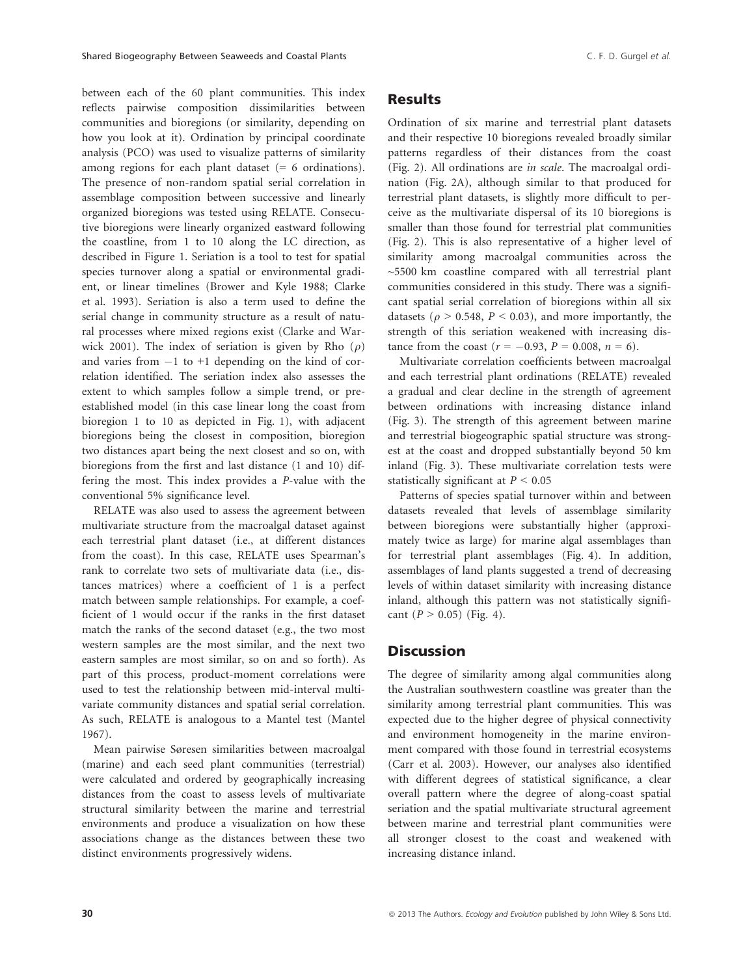between each of the 60 plant communities. This index reflects pairwise composition dissimilarities between communities and bioregions (or similarity, depending on how you look at it). Ordination by principal coordinate analysis (PCO) was used to visualize patterns of similarity among regions for each plant dataset  $(= 6 \text{ ordinations}).$ The presence of non-random spatial serial correlation in assemblage composition between successive and linearly organized bioregions was tested using RELATE. Consecutive bioregions were linearly organized eastward following the coastline, from 1 to 10 along the LC direction, as described in Figure 1. Seriation is a tool to test for spatial species turnover along a spatial or environmental gradient, or linear timelines (Brower and Kyle 1988; Clarke et al. 1993). Seriation is also a term used to define the serial change in community structure as a result of natural processes where mixed regions exist (Clarke and Warwick 2001). The index of seriation is given by Rho  $(\rho)$ and varies from  $-1$  to  $+1$  depending on the kind of correlation identified. The seriation index also assesses the extent to which samples follow a simple trend, or preestablished model (in this case linear long the coast from bioregion 1 to 10 as depicted in Fig. 1), with adjacent bioregions being the closest in composition, bioregion two distances apart being the next closest and so on, with bioregions from the first and last distance (1 and 10) differing the most. This index provides a P-value with the conventional 5% significance level.

RELATE was also used to assess the agreement between multivariate structure from the macroalgal dataset against each terrestrial plant dataset (i.e., at different distances from the coast). In this case, RELATE uses Spearman's rank to correlate two sets of multivariate data (i.e., distances matrices) where a coefficient of 1 is a perfect match between sample relationships. For example, a coefficient of 1 would occur if the ranks in the first dataset match the ranks of the second dataset (e.g., the two most western samples are the most similar, and the next two eastern samples are most similar, so on and so forth). As part of this process, product-moment correlations were used to test the relationship between mid-interval multivariate community distances and spatial serial correlation. As such, RELATE is analogous to a Mantel test (Mantel 1967).

Mean pairwise Søresen similarities between macroalgal (marine) and each seed plant communities (terrestrial) were calculated and ordered by geographically increasing distances from the coast to assess levels of multivariate structural similarity between the marine and terrestrial environments and produce a visualization on how these associations change as the distances between these two distinct environments progressively widens.

## Results

Ordination of six marine and terrestrial plant datasets and their respective 10 bioregions revealed broadly similar patterns regardless of their distances from the coast (Fig. 2). All ordinations are in scale. The macroalgal ordination (Fig. 2A), although similar to that produced for terrestrial plant datasets, is slightly more difficult to perceive as the multivariate dispersal of its 10 bioregions is smaller than those found for terrestrial plat communities (Fig. 2). This is also representative of a higher level of similarity among macroalgal communities across the ~5500 km coastline compared with all terrestrial plant communities considered in this study. There was a significant spatial serial correlation of bioregions within all six datasets ( $\rho > 0.548$ ,  $P < 0.03$ ), and more importantly, the strength of this seriation weakened with increasing distance from the coast ( $r = -0.93$ ,  $P = 0.008$ ,  $n = 6$ ).

Multivariate correlation coefficients between macroalgal and each terrestrial plant ordinations (RELATE) revealed a gradual and clear decline in the strength of agreement between ordinations with increasing distance inland (Fig. 3). The strength of this agreement between marine and terrestrial biogeographic spatial structure was strongest at the coast and dropped substantially beyond 50 km inland (Fig. 3). These multivariate correlation tests were statistically significant at  $P < 0.05$ 

Patterns of species spatial turnover within and between datasets revealed that levels of assemblage similarity between bioregions were substantially higher (approximately twice as large) for marine algal assemblages than for terrestrial plant assemblages (Fig. 4). In addition, assemblages of land plants suggested a trend of decreasing levels of within dataset similarity with increasing distance inland, although this pattern was not statistically significant  $(P > 0.05)$  (Fig. 4).

## **Discussion**

The degree of similarity among algal communities along the Australian southwestern coastline was greater than the similarity among terrestrial plant communities. This was expected due to the higher degree of physical connectivity and environment homogeneity in the marine environment compared with those found in terrestrial ecosystems (Carr et al. 2003). However, our analyses also identified with different degrees of statistical significance, a clear overall pattern where the degree of along-coast spatial seriation and the spatial multivariate structural agreement between marine and terrestrial plant communities were all stronger closest to the coast and weakened with increasing distance inland.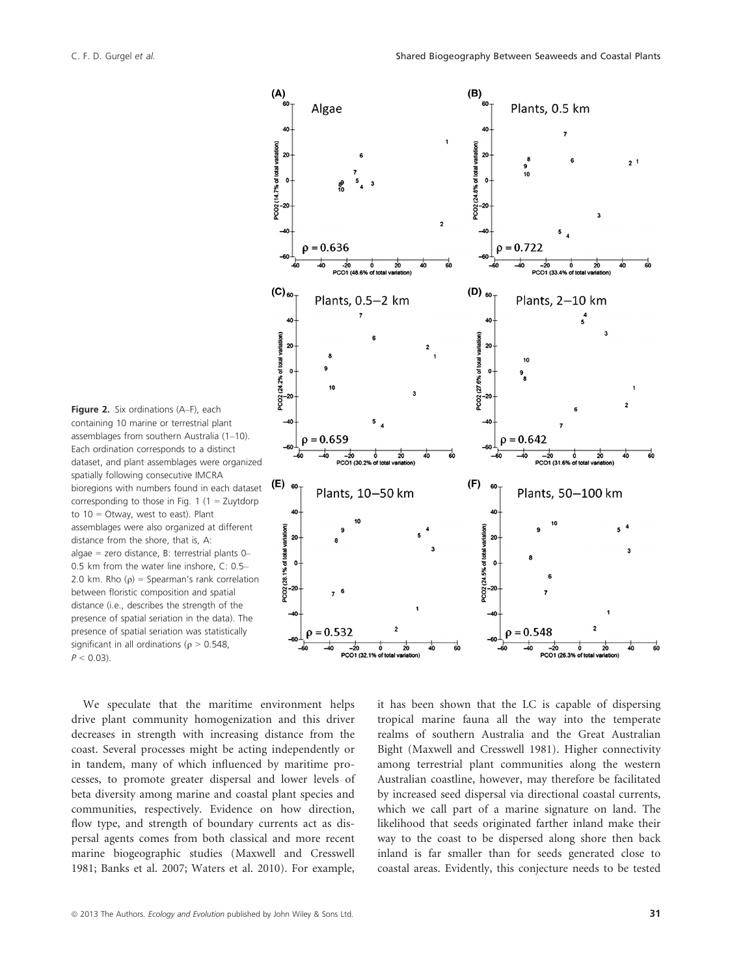Figure 2. Six ordinations (A–F), each containing 10 marine or terrestrial plant assemblages from southern Australia (1–10). Each ordination corresponds to a distinct dataset, and plant assemblages were organized spatially following consecutive IMCRA bioregions with numbers found in each dataset corresponding to those in Fig. 1 (1 = Zuytdorp to  $10 =$  Otway, west to east). Plant assemblages were also organized at different distance from the shore, that is, A: algae = zero distance, B: terrestrial plants 0– 0.5 km from the water line inshore, C: 0.5– 2.0 km. Rho ( $\rho$ ) = Spearman's rank correlation between floristic composition and spatial distance (i.e., describes the strength of the presence of spatial seriation in the data). The presence of spatial seriation was statistically significant in all ordinations ( $\rho > 0.548$ ,  $P < 0.03$ ).

We speculate that the maritime environment helps drive plant community homogenization and this driver decreases in strength with increasing distance from the coast. Several processes might be acting independently or in tandem, many of which influenced by maritime processes, to promote greater dispersal and lower levels of beta diversity among marine and coastal plant species and communities, respectively. Evidence on how direction, flow type, and strength of boundary currents act as dispersal agents comes from both classical and more recent marine biogeographic studies (Maxwell and Cresswell 1981; Banks et al. 2007; Waters et al. 2010). For example,



it has been shown that the LC is capable of dispersing tropical marine fauna all the way into the temperate realms of southern Australia and the Great Australian Bight (Maxwell and Cresswell 1981). Higher connectivity among terrestrial plant communities along the western Australian coastline, however, may therefore be facilitated by increased seed dispersal via directional coastal currents, which we call part of a marine signature on land. The likelihood that seeds originated farther inland make their way to the coast to be dispersed along shore then back inland is far smaller than for seeds generated close to coastal areas. Evidently, this conjecture needs to be tested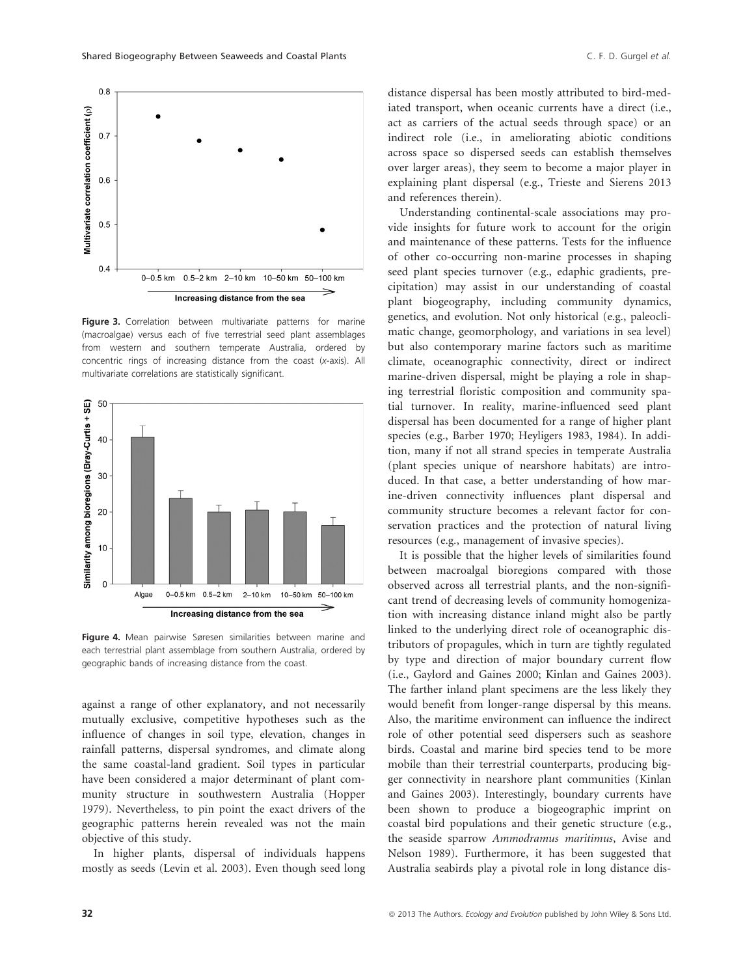

Figure 3. Correlation between multivariate patterns for marine (macroalgae) versus each of five terrestrial seed plant assemblages from western and southern temperate Australia, ordered by concentric rings of increasing distance from the coast (x-axis). All multivariate correlations are statistically significant.



Figure 4. Mean pairwise Søresen similarities between marine and each terrestrial plant assemblage from southern Australia, ordered by geographic bands of increasing distance from the coast.

against a range of other explanatory, and not necessarily mutually exclusive, competitive hypotheses such as the influence of changes in soil type, elevation, changes in rainfall patterns, dispersal syndromes, and climate along the same coastal-land gradient. Soil types in particular have been considered a major determinant of plant community structure in southwestern Australia (Hopper 1979). Nevertheless, to pin point the exact drivers of the geographic patterns herein revealed was not the main objective of this study.

In higher plants, dispersal of individuals happens mostly as seeds (Levin et al. 2003). Even though seed long distance dispersal has been mostly attributed to bird-mediated transport, when oceanic currents have a direct (i.e., act as carriers of the actual seeds through space) or an indirect role (i.e., in ameliorating abiotic conditions across space so dispersed seeds can establish themselves over larger areas), they seem to become a major player in explaining plant dispersal (e.g., Trieste and Sierens 2013 and references therein).

Understanding continental-scale associations may provide insights for future work to account for the origin and maintenance of these patterns. Tests for the influence of other co-occurring non-marine processes in shaping seed plant species turnover (e.g., edaphic gradients, precipitation) may assist in our understanding of coastal plant biogeography, including community dynamics, genetics, and evolution. Not only historical (e.g., paleoclimatic change, geomorphology, and variations in sea level) but also contemporary marine factors such as maritime climate, oceanographic connectivity, direct or indirect marine-driven dispersal, might be playing a role in shaping terrestrial floristic composition and community spatial turnover. In reality, marine-influenced seed plant dispersal has been documented for a range of higher plant species (e.g., Barber 1970; Heyligers 1983, 1984). In addition, many if not all strand species in temperate Australia (plant species unique of nearshore habitats) are introduced. In that case, a better understanding of how marine-driven connectivity influences plant dispersal and community structure becomes a relevant factor for conservation practices and the protection of natural living resources (e.g., management of invasive species).

It is possible that the higher levels of similarities found between macroalgal bioregions compared with those observed across all terrestrial plants, and the non-significant trend of decreasing levels of community homogenization with increasing distance inland might also be partly linked to the underlying direct role of oceanographic distributors of propagules, which in turn are tightly regulated by type and direction of major boundary current flow (i.e., Gaylord and Gaines 2000; Kinlan and Gaines 2003). The farther inland plant specimens are the less likely they would benefit from longer-range dispersal by this means. Also, the maritime environment can influence the indirect role of other potential seed dispersers such as seashore birds. Coastal and marine bird species tend to be more mobile than their terrestrial counterparts, producing bigger connectivity in nearshore plant communities (Kinlan and Gaines 2003). Interestingly, boundary currents have been shown to produce a biogeographic imprint on coastal bird populations and their genetic structure (e.g., the seaside sparrow Ammodramus maritimus, Avise and Nelson 1989). Furthermore, it has been suggested that Australia seabirds play a pivotal role in long distance dis-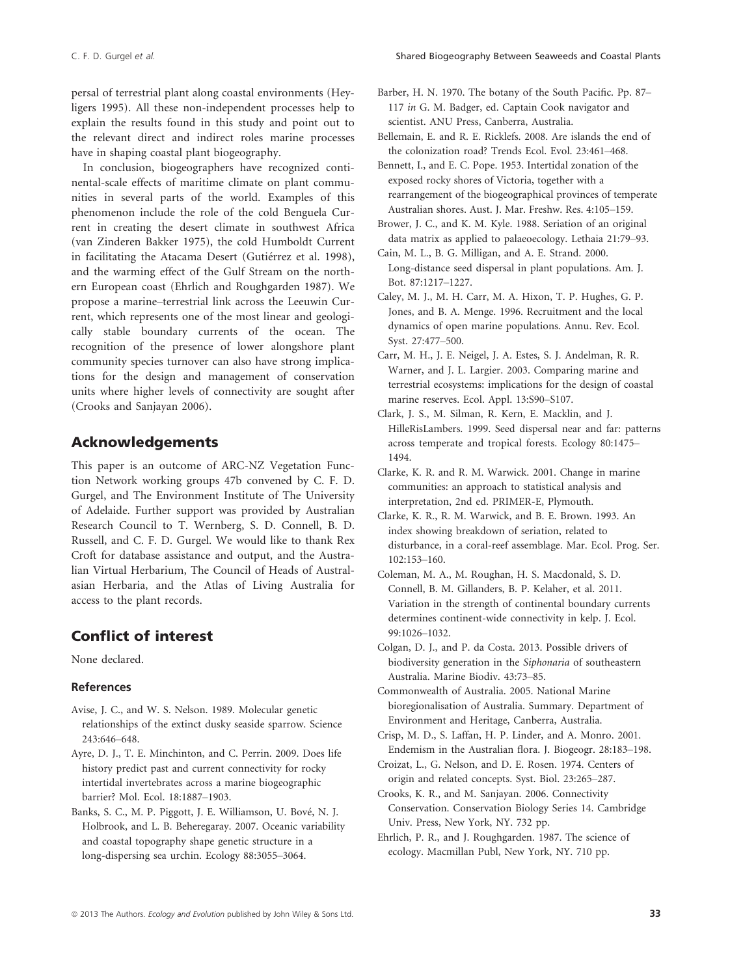persal of terrestrial plant along coastal environments (Heyligers 1995). All these non-independent processes help to explain the results found in this study and point out to the relevant direct and indirect roles marine processes have in shaping coastal plant biogeography.

In conclusion, biogeographers have recognized continental-scale effects of maritime climate on plant communities in several parts of the world. Examples of this phenomenon include the role of the cold Benguela Current in creating the desert climate in southwest Africa (van Zinderen Bakker 1975), the cold Humboldt Current in facilitating the Atacama Desert (Gutiérrez et al. 1998), and the warming effect of the Gulf Stream on the northern European coast (Ehrlich and Roughgarden 1987). We propose a marine–terrestrial link across the Leeuwin Current, which represents one of the most linear and geologically stable boundary currents of the ocean. The recognition of the presence of lower alongshore plant community species turnover can also have strong implications for the design and management of conservation units where higher levels of connectivity are sought after (Crooks and Sanjayan 2006).

# Acknowledgements

This paper is an outcome of ARC-NZ Vegetation Function Network working groups 47b convened by C. F. D. Gurgel, and The Environment Institute of The University of Adelaide. Further support was provided by Australian Research Council to T. Wernberg, S. D. Connell, B. D. Russell, and C. F. D. Gurgel. We would like to thank Rex Croft for database assistance and output, and the Australian Virtual Herbarium, The Council of Heads of Australasian Herbaria, and the Atlas of Living Australia for access to the plant records.

# Conflict of interest

None declared.

## References

- Avise, J. C., and W. S. Nelson. 1989. Molecular genetic relationships of the extinct dusky seaside sparrow. Science 243:646–648.
- Ayre, D. J., T. E. Minchinton, and C. Perrin. 2009. Does life history predict past and current connectivity for rocky intertidal invertebrates across a marine biogeographic barrier? Mol. Ecol. 18:1887–1903.
- Banks, S. C., M. P. Piggott, J. E. Williamson, U. Bove, N. J. Holbrook, and L. B. Beheregaray. 2007. Oceanic variability and coastal topography shape genetic structure in a long-dispersing sea urchin. Ecology 88:3055–3064.
- Barber, H. N. 1970. The botany of the South Pacific. Pp. 87– 117 in G. M. Badger, ed. Captain Cook navigator and scientist. ANU Press, Canberra, Australia.
- Bellemain, E. and R. E. Ricklefs. 2008. Are islands the end of the colonization road? Trends Ecol. Evol. 23:461–468.
- Bennett, I., and E. C. Pope. 1953. Intertidal zonation of the exposed rocky shores of Victoria, together with a rearrangement of the biogeographical provinces of temperate Australian shores. Aust. J. Mar. Freshw. Res. 4:105–159.
- Brower, J. C., and K. M. Kyle. 1988. Seriation of an original data matrix as applied to palaeoecology. Lethaia 21:79–93.
- Cain, M. L., B. G. Milligan, and A. E. Strand. 2000. Long-distance seed dispersal in plant populations. Am. J. Bot. 87:1217–1227.
- Caley, M. J., M. H. Carr, M. A. Hixon, T. P. Hughes, G. P. Jones, and B. A. Menge. 1996. Recruitment and the local dynamics of open marine populations. Annu. Rev. Ecol. Syst. 27:477–500.
- Carr, M. H., J. E. Neigel, J. A. Estes, S. J. Andelman, R. R. Warner, and J. L. Largier. 2003. Comparing marine and terrestrial ecosystems: implications for the design of coastal marine reserves. Ecol. Appl. 13:S90–S107.
- Clark, J. S., M. Silman, R. Kern, E. Macklin, and J. HilleRisLambers. 1999. Seed dispersal near and far: patterns across temperate and tropical forests. Ecology 80:1475– 1494.
- Clarke, K. R. and R. M. Warwick. 2001. Change in marine communities: an approach to statistical analysis and interpretation, 2nd ed. PRIMER-E, Plymouth.
- Clarke, K. R., R. M. Warwick, and B. E. Brown. 1993. An index showing breakdown of seriation, related to disturbance, in a coral-reef assemblage. Mar. Ecol. Prog. Ser. 102:153–160.
- Coleman, M. A., M. Roughan, H. S. Macdonald, S. D. Connell, B. M. Gillanders, B. P. Kelaher, et al. 2011. Variation in the strength of continental boundary currents determines continent-wide connectivity in kelp. J. Ecol. 99:1026–1032.
- Colgan, D. J., and P. da Costa. 2013. Possible drivers of biodiversity generation in the Siphonaria of southeastern Australia. Marine Biodiv. 43:73–85.
- Commonwealth of Australia. 2005. National Marine bioregionalisation of Australia. Summary. Department of Environment and Heritage, Canberra, Australia.
- Crisp, M. D., S. Laffan, H. P. Linder, and A. Monro. 2001. Endemism in the Australian flora. J. Biogeogr. 28:183–198.
- Croizat, L., G. Nelson, and D. E. Rosen. 1974. Centers of origin and related concepts. Syst. Biol. 23:265–287.
- Crooks, K. R., and M. Sanjayan. 2006. Connectivity Conservation. Conservation Biology Series 14. Cambridge Univ. Press, New York, NY. 732 pp.
- Ehrlich, P. R., and J. Roughgarden. 1987. The science of ecology. Macmillan Publ, New York, NY. 710 pp.